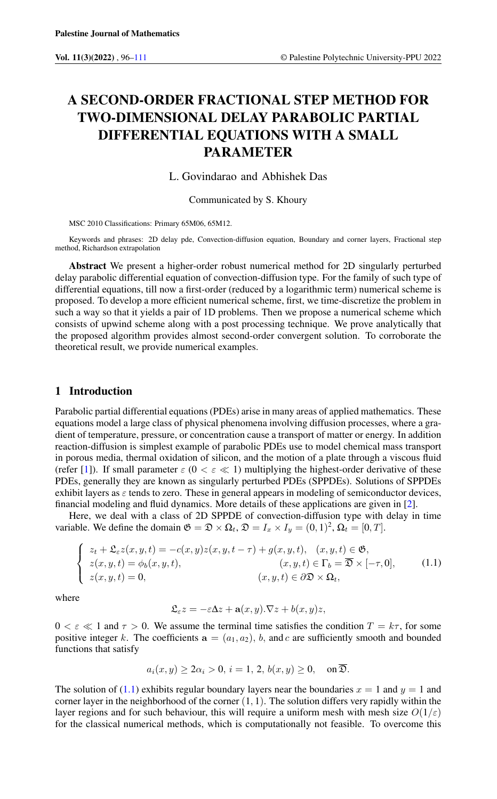# A SECOND-ORDER FRACTIONAL STEP METHOD FOR TWO-DIMENSIONAL DELAY PARABOLIC PARTIAL DIFFERENTIAL EQUATIONS WITH A SMALL PARAMETER

L. Govindarao and Abhishek Das

Communicated by S. Khoury

MSC 2010 Classifications: Primary 65M06, 65M12.

Keywords and phrases: 2D delay pde, Convection-diffusion equation, Boundary and corner layers, Fractional step method, Richardson extrapolation

Abstract We present a higher-order robust numerical method for 2D singularly perturbed delay parabolic differential equation of convection-diffusion type. For the family of such type of differential equations, till now a first-order (reduced by a logarithmic term) numerical scheme is proposed. To develop a more efficient numerical scheme, first, we time-discretize the problem in such a way so that it yields a pair of 1D problems. Then we propose a numerical scheme which consists of upwind scheme along with a post processing technique. We prove analytically that the proposed algorithm provides almost second-order convergent solution. To corroborate the theoretical result, we provide numerical examples.

# 1 Introduction

Parabolic partial differential equations (PDEs) arise in many areas of applied mathematics. These equations model a large class of physical phenomena involving diffusion processes, where a gradient of temperature, pressure, or concentration cause a transport of matter or energy. In addition reaction-diffusion is simplest example of parabolic PDEs use to model chemical mass transport in porous media, thermal oxidation of silicon, and the motion of a plate through a viscous fluid (refer [\[1\]](#page-15-1)). If small parameter  $\varepsilon$  ( $0 < \varepsilon \ll 1$ ) multiplying the highest-order derivative of these PDEs, generally they are known as singularly perturbed PDEs (SPPDEs). Solutions of SPPDEs exhibit layers as  $\varepsilon$  tends to zero. These in general appears in modeling of semiconductor devices, financial modeling and fluid dynamics. More details of these applications are given in [\[2\]](#page-15-2).

Here, we deal with a class of 2D SPPDE of convection-diffusion type with delay in time variable. We define the domain  $\mathfrak{G} = \mathfrak{D} \times \Omega_t$ ,  $\mathfrak{D} = I_x \times I_y = (0, 1)^2$ ,  $\Omega_t = [0, T]$ .

$$
\begin{cases}\n z_t + \mathfrak{L}_{\varepsilon} z(x, y, t) = -c(x, y)z(x, y, t - \tau) + g(x, y, t), & (x, y, t) \in \mathfrak{G}, \\
 z(x, y, t) = \phi_b(x, y, t), & (x, y, t) \in \Gamma_b = \overline{\mathfrak{D}} \times [-\tau, 0], \\
 z(x, y, t) = 0, & (x, y, t) \in \partial \mathfrak{D} \times \Omega_t,\n\end{cases}
$$
\n(1.1)

where

<span id="page-0-0"></span>
$$
\mathfrak{L}_{\varepsilon}z = -\varepsilon \Delta z + \mathbf{a}(x, y).\nabla z + b(x, y)z,
$$

 $0 < \varepsilon \ll 1$  and  $\tau > 0$ . We assume the terminal time satisfies the condition  $T = k\tau$ , for some positive integer k. The coefficients  $a = (a_1, a_2)$ , b, and c are sufficiently smooth and bounded functions that satisfy

$$
a_i(x, y) \ge 2\alpha_i > 0, i = 1, 2, b(x, y) \ge 0, \text{ on } \mathfrak{D}.
$$

The solution of [\(1.1\)](#page-0-0) exhibits regular boundary layers near the boundaries  $x = 1$  and  $y = 1$  and corner layer in the neighborhood of the corner  $(1, 1)$ . The solution differs very rapidly within the layer regions and for such behaviour, this will require a uniform mesh with mesh size  $O(1/\varepsilon)$ for the classical numerical methods, which is computationally not feasible. To overcome this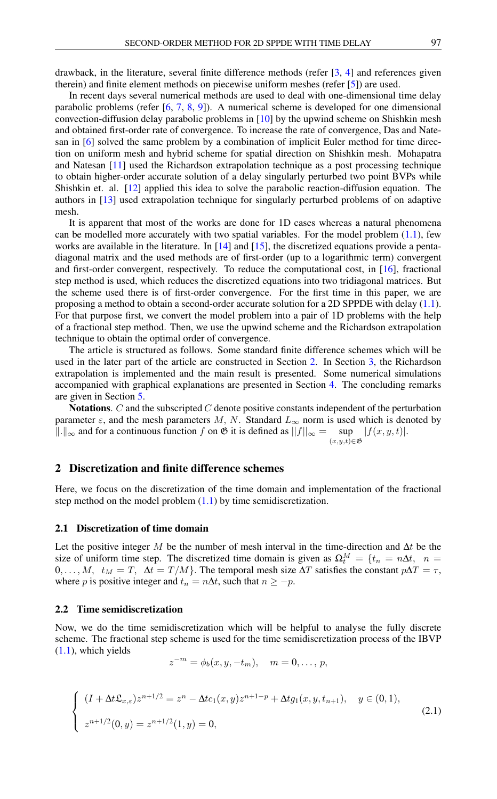drawback, in the literature, several finite difference methods (refer [\[3,](#page-15-3) [4\]](#page-15-4) and references given therein) and finite element methods on piecewise uniform meshes (refer  $[5]$ ) are used.

In recent days several numerical methods are used to deal with one-dimensional time delay parabolic problems (refer [\[6,](#page-15-6) [7,](#page-15-7) [8,](#page-15-8) [9\]](#page-15-9)). A numerical scheme is developed for one dimensional convection-diffusion delay parabolic problems in [\[10\]](#page-15-10) by the upwind scheme on Shishkin mesh and obtained first-order rate of convergence. To increase the rate of convergence, Das and Natesan in [\[6\]](#page-15-6) solved the same problem by a combination of implicit Euler method for time direction on uniform mesh and hybrid scheme for spatial direction on Shishkin mesh. Mohapatra and Natesan [\[11\]](#page-15-11) used the Richardson extrapolation technique as a post processing technique to obtain higher-order accurate solution of a delay singularly perturbed two point BVPs while Shishkin et. al. [\[12\]](#page-15-12) applied this idea to solve the parabolic reaction-diffusion equation. The authors in [\[13\]](#page-15-13) used extrapolation technique for singularly perturbed problems of on adaptive mesh.

It is apparent that most of the works are done for 1D cases whereas a natural phenomena can be modelled more accurately with two spatial variables. For the model problem  $(1.1)$ , few works are available in the literature. In  $[14]$  and  $[15]$ , the discretized equations provide a pentadiagonal matrix and the used methods are of first-order (up to a logarithmic term) convergent and first-order convergent, respectively. To reduce the computational cost, in [\[16\]](#page-15-16), fractional step method is used, which reduces the discretized equations into two tridiagonal matrices. But the scheme used there is of first-order convergence. For the first time in this paper, we are proposing a method to obtain a second-order accurate solution for a 2D SPPDE with delay [\(1.1\)](#page-0-0). For that purpose first, we convert the model problem into a pair of 1D problems with the help of a fractional step method. Then, we use the upwind scheme and the Richardson extrapolation technique to obtain the optimal order of convergence.

The article is structured as follows. Some standard finite difference schemes which will be used in the later part of the article are constructed in Section [2.](#page-1-0) In Section [3,](#page-5-0) the Richardson extrapolation is implemented and the main result is presented. Some numerical simulations accompanied with graphical explanations are presented in Section [4.](#page-10-0) The concluding remarks are given in Section [5.](#page-12-0)

**Notations.**  $C$  and the subscripted  $C$  denote positive constants independent of the perturbation parameter  $\varepsilon$ , and the mesh parameters M, N. Standard  $L_{\infty}$  norm is used which is denoted by  $\|.\|_{\infty}$  and for a continuous function f on  $\mathfrak{G}$  it is defined as  $||f||_{\infty} = \sup_{(x,y,t)\in\mathfrak{G}}$  $|f(x, y, t)|$ .

# <span id="page-1-0"></span>2 Discretization and finite difference schemes

Here, we focus on the discretization of the time domain and implementation of the fractional step method on the model problem  $(1.1)$  by time semidiscretization.

#### 2.1 Discretization of time domain

Let the positive integer M be the number of mesh interval in the time-direction and  $\Delta t$  be the size of uniform time step. The discretized time domain is given as  $\Omega_t^M = \{t_n = n\Delta t, n = 1\}$  $0, \ldots, M, t_M = T, \Delta t = T/M$ . The temporal mesh size  $\Delta T$  satisfies the constant  $p\Delta T = \tau$ , where *p* is positive integer and  $t_n = n\Delta t$ , such that  $n \ge -p$ .

# 2.2 Time semidiscretization

Now, we do the time semidiscretization which will be helpful to analyse the fully discrete scheme. The fractional step scheme is used for the time semidiscretization process of the IBVP [\(1.1\)](#page-0-0), which yields

$$
z^{-m} = \phi_b(x, y, -t_m), \quad m = 0, ..., p,
$$

<span id="page-1-1"></span>
$$
\begin{cases}\n(I + \Delta t \mathfrak{L}_{x,\varepsilon}) z^{n+1/2} = z^n - \Delta t c_1(x,y) z^{n+1-p} + \Delta t g_1(x,y,t_{n+1}), & y \in (0,1), \\
z^{n+1/2}(0,y) = z^{n+1/2}(1,y) = 0,\n\end{cases}
$$
\n(2.1)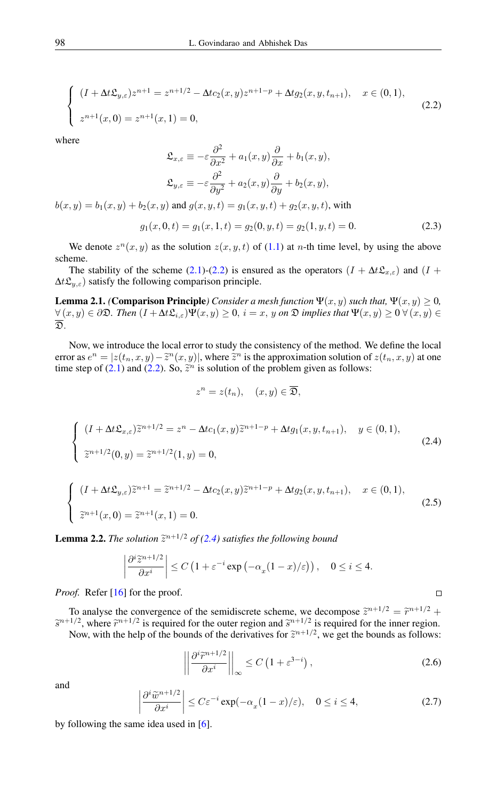<span id="page-2-0"></span>
$$
\begin{cases}\n(I + \Delta t \mathfrak{L}_{y,\varepsilon}) z^{n+1} = z^{n+1/2} - \Delta t c_2(x, y) z^{n+1-p} + \Delta t g_2(x, y, t_{n+1}), & x \in (0, 1), \\
z^{n+1}(x, 0) = z^{n+1}(x, 1) = 0,\n\end{cases}
$$
\n(2.2)

where

<span id="page-2-5"></span>
$$
\mathfrak{L}_{x,\varepsilon} \equiv -\varepsilon \frac{\partial^2}{\partial x^2} + a_1(x,y) \frac{\partial}{\partial x} + b_1(x,y),
$$
  

$$
\mathfrak{L}_{y,\varepsilon} \equiv -\varepsilon \frac{\partial^2}{\partial y^2} + a_2(x,y) \frac{\partial}{\partial y} + b_2(x,y),
$$

 $b(x, y) = b_1(x, y) + b_2(x, y)$  and  $g(x, y, t) = g_1(x, y, t) + g_2(x, y, t)$ , with

$$
g_1(x,0,t) = g_1(x,1,t) = g_2(0,y,t) = g_2(1,y,t) = 0.
$$
\n(2.3)

We denote  $z^n(x, y)$  as the solution  $z(x, y, t)$  of [\(1.1\)](#page-0-0) at *n*-th time level, by using the above scheme.

The stability of the scheme [\(2.1\)](#page-1-1)-[\(2.2\)](#page-2-0) is ensured as the operators  $(I + \Delta t \mathcal{L}_{x,\varepsilon})$  and  $(I +$  $\Delta t \mathcal{L}_{y,\varepsilon}$ ) satisfy the following comparison principle.

**Lemma 2.1.** *(Comparison Principle) Consider a mesh function*  $\Psi(x, y)$  *such that,*  $\Psi(x, y) \ge 0$ *,*  $\forall (x, y) \in \partial \mathfrak{D}$ . Then  $(I + \Delta t \mathfrak{L}_{i, \varepsilon}) \Psi(x, y) \geq 0$ ,  $i = x, y$  on  $\mathfrak{D}$  implies that  $\Psi(x, y) \geq 0$   $\forall (x, y) \in$  $\overline{\mathfrak{D}}$ .

Now, we introduce the local error to study the consistency of the method. We define the local error as  $e^n = |z(t_n, x, y) - \tilde{z}^n(x, y)|$ , where  $\tilde{z}^n$  is the approximation solution of  $z(t_n, x, y)$  at one<br>time step of (2.1) and (2.2). So  $\tilde{z}^n$  is solution of the problem given as follows: time step of [\(2.1\)](#page-1-1) and [\(2.2\)](#page-2-0). So,  $\tilde{z}^n$  is solution of the problem given as follows:

$$
z^n = z(t_n), \quad (x, y) \in \overline{\mathfrak{D}},
$$

<span id="page-2-1"></span>
$$
\begin{cases}\n(I + \Delta t \mathfrak{L}_{x,\varepsilon})\tilde{z}^{n+1/2} = z^n - \Delta t c_1(x, y) \tilde{z}^{n+1-p} + \Delta t g_1(x, y, t_{n+1}), \quad y \in (0, 1), \\
\tilde{z}^{n+1/2}(0, y) = \tilde{z}^{n+1/2}(1, y) = 0,\n\end{cases}
$$
\n(2.4)

<span id="page-2-2"></span>
$$
\begin{cases}\n(I + \Delta t \mathfrak{L}_{y,\varepsilon}) \tilde{z}^{n+1} = \tilde{z}^{n+1/2} - \Delta t c_2(x, y) \tilde{z}^{n+1-p} + \Delta t g_2(x, y, t_{n+1}), & x \in (0, 1), \\
\tilde{z}^{n+1}(x, 0) = \tilde{z}^{n+1}(x, 1) = 0.\n\end{cases}
$$
\n(2.5)

**Lemma 2.2.** The solution  $\tilde{z}^{n+1/2}$  of [\(2.4\)](#page-2-1) satisfies the following bound

$$
\left|\frac{\partial^i \tilde{z}^{n+1/2}}{\partial x^i}\right| \le C\left(1 + \varepsilon^{-i}\exp\left(-\alpha_x(1-x)/\varepsilon\right)\right), \quad 0 \le i \le 4.
$$

*Proof.* Refer [\[16\]](#page-15-16) for the proof.

To analyse the convergence of the semidiscrete scheme, we decompose  $\tilde{z}^{n+1/2} = \tilde{r}^{n+1/2} +$ <br> $\tilde{z}^{n+1/2}$  where  $\tilde{z}^{n+1/2}$  is required for the outer region and  $\tilde{z}^{n+1/2}$  is required for the inner regio  $\tilde{s}^{n+1/2}$ , where  $\tilde{r}^{n+1/2}$  is required for the outer region and  $\tilde{s}^{n+1/2}$  is required for the inner region.<br>Now with the help of the bounds of the derivatives for  $\tilde{z}^{n+1/2}$  we get the bounds as follo

<span id="page-2-3"></span>Now, with the help of the bounds of the derivatives for  $\tilde{z}^{n+1/2}$ , we get the bounds as follows:

$$
\left\| \frac{\partial^i \tilde{r}^{n+1/2}}{\partial x^i} \right\|_{\infty} \le C \left( 1 + \varepsilon^{3-i} \right),\tag{2.6}
$$

<span id="page-2-4"></span>and

$$
\left| \frac{\partial^i \widetilde{w}^{n+1/2}}{\partial x^i} \right| \le C \varepsilon^{-i} \exp(-\alpha_x (1-x)/\varepsilon), \quad 0 \le i \le 4,
$$
\n(2.7)

by following the same idea used in [\[6\]](#page-15-6).

$$
\Box
$$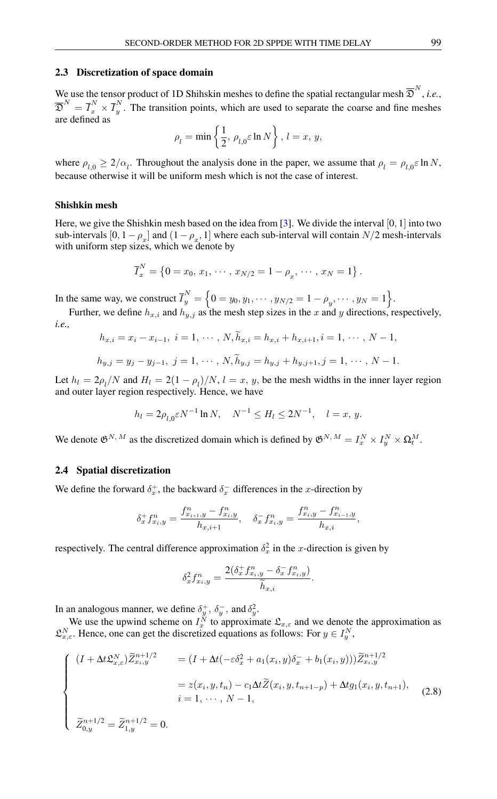#### 2.3 Discretization of space domain

We use the tensor product of 1D Shihskin meshes to define the spatial rectangular mesh  $\overline{2}^N$ , *i.e.*,  $\overline{\mathfrak{D}}^N = \overline{I}^N_x \times \overline{I}^N_y$  $y'$ . The transition points, which are used to separate the coarse and fine meshes are defined as

$$
\rho_l = \min\left\{\frac{1}{2}, \, \rho_{l,0} \varepsilon \ln N\right\}, \, l = x, \, y,
$$

where  $\rho_{l,0} \ge 2/\alpha_l$ . Throughout the analysis done in the paper, we assume that  $\rho_l = \rho_{l,0} \varepsilon \ln N$ , because otherwise it will be uniform mesh which is not the case of interest.

#### Shishkin mesh

Here, we give the Shishkin mesh based on the idea from [\[3\]](#page-15-3). We divide the interval  $[0, 1]$  into two sub-intervals  $[0, 1 - \rho_x]$  and  $(1 - \rho_x, 1]$  where each sub-interval will contain  $N/2$  mesh-intervals with uniform step sizes, which we denote by

$$
\overline{I}_x^N = \{0 = x_0, x_1, \cdots, x_{N/2} = 1 - \rho_x, \cdots, x_N = 1\}.
$$

In the same way, we construct  $\overline{I}_y^N = \left\{0 = y_0, y_1, \cdots, y_{N/2} = 1 - \rho_y, \cdots, y_N = 1\right\}$ .

Further, we define  $h_{x,i}$  and  $h_{y,j}$  as the mesh step sizes in the x and y directions, respectively, *i.e.,*

$$
h_{x,i} = x_i - x_{i-1}, \ i = 1, \cdots, N, h_{x,i} = h_{x,i} + h_{x,i+1}, i = 1, \cdots, N-1,
$$

$$
h_{y,j} = y_j - y_{j-1}, \ j = 1, \cdots, N, h_{y,j} = h_{y,j} + h_{y,j+1}, j = 1, \cdots, N-1.
$$

Let  $h_l = 2\rho_l/N$  and  $H_l = 2(1 - \rho_l)/N$ ,  $l = x$ , y, be the mesh widths in the inner layer region and outer layer region respectively. Hence, we have

$$
h_l = 2\rho_{l,0} \varepsilon N^{-1} \ln N, \quad N^{-1} \le H_l \le 2N^{-1}, \quad l = x, y.
$$

We denote  $\mathfrak{G}^{N,M}$  as the discretized domain which is defined by  $\mathfrak{G}^{N,M} = I_x^N \times I_y^N \times \Omega_t^M$ .

# 2.4 Spatial discretization

We define the forward  $\delta_x^+$ , the backward  $\delta_x^-$  differences in the x-direction by

$$
\delta_x^+ f^n_{x_i,y} = \frac{f^n_{x_{i+1},y}-f^n_{x_i,y}}{h_{x,i+1}}, \quad \delta_x^- f^n_{x_i,y} = \frac{f^n_{x_i,y}-f^n_{x_{i-1},y}}{h_{x,i}},
$$

respectively. The central difference approximation  $\delta_x^2$  in the x-direction is given by

<span id="page-3-0"></span>
$$
\delta_x^2 f^n_{x_i,y} = \frac{2(\delta_x^+ f^n_{x_i,y} - \delta_x^- f^n_{x_i,y})}{\widetilde{h}_{x,i}}.
$$

In an analogous manner, we define  $\delta_y^+$ ,  $\delta_y^-$ , and  $\delta_y^2$ .

We use the upwind scheme on  $I_x^N$  to approximate  $\mathfrak{L}_{x,\varepsilon}$  and we denote the approximation as  $\mathfrak{L}_{x,\varepsilon}^N$ . Hence, one can get the discretized equations as follows: For  $y \in I_y^N$ ,

$$
\begin{cases}\n(I + \Delta t \mathfrak{L}_{x,\varepsilon}^N) \widetilde{Z}_{x_i,y}^{n+1/2} &= (I + \Delta t (-\varepsilon \delta_x^2 + a_1(x_i, y)\delta_x^- + b_1(x_i, y))) \widetilde{Z}_{x_i,y}^{n+1/2} \\
&= z(x_i, y, t_n) - c_1 \Delta t \widetilde{Z}(x_i, y, t_{n+1-p}) + \Delta t g_1(x_i, y, t_{n+1}), \\
&i = 1, \cdots, N-1, \\
\widetilde{Z}_{0,y}^{n+1/2} = \widetilde{Z}_{1,y}^{n+1/2} = 0.\n\end{cases}\n\tag{2.8}
$$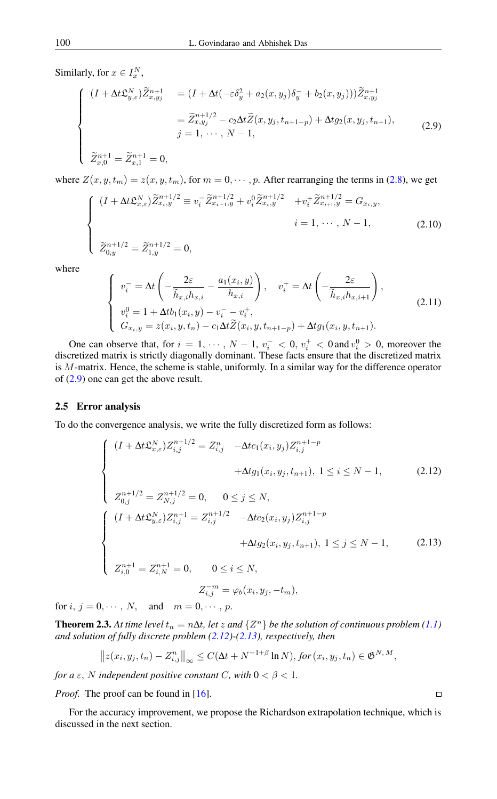Similarly, for  $x \in I_x^N$ ,

<span id="page-4-0"></span>
$$
\begin{cases}\n(I + \Delta t \mathfrak{L}_{y,\varepsilon}^N) \widetilde{Z}_{x,y_j}^{n+1} &= (I + \Delta t (-\varepsilon \delta_y^2 + a_2(x, y_j)\delta_y^- + b_2(x, y_j))) \widetilde{Z}_{x,y_j}^{n+1} \\
&= \widetilde{Z}_{x,y_j}^{n+1/2} - c_2 \Delta t \widetilde{Z}(x, y_j, t_{n+1-p}) + \Delta t g_2(x, y_j, t_{n+1}), \\
j = 1, \cdots, N - 1, \\
\widetilde{Z}_{x,0}^{n+1} &= \widetilde{Z}_{x,1}^{n+1} = 0,\n\end{cases}
$$
\n(2.9)

where  $Z(x, y, t_m) = z(x, y, t_m)$ , for  $m = 0, \dots, p$ . After rearranging the terms in [\(2.8\)](#page-3-0), we get

$$
\begin{cases}\n(I + \Delta t \mathfrak{L}_{x,\varepsilon}^N) \widetilde{Z}_{x_i,y}^{n+1/2} \equiv v_i^- \widetilde{Z}_{x_{i-1},y}^{n+1/2} + v_i^0 \widetilde{Z}_{x_i,y}^{n+1/2} + v_i^+ \widetilde{Z}_{x_{i+1},y}^{n+1/2} = G_{x_i,y}, \\
i = 1, \cdots, N-1, \\
\widetilde{Z}_{0,y}^{n+1/2} = \widetilde{Z}_{1,y}^{n+1/2} = 0,\n\end{cases}
$$
\n(2.10)

where

$$
\begin{cases}\nv_i^- = \Delta t \left( -\frac{2\varepsilon}{\widetilde{h}_{x,i} h_{x,i}} - \frac{a_1(x_i, y)}{h_{x,i}} \right), & v_i^+ = \Delta t \left( -\frac{2\varepsilon}{\widetilde{h}_{x,i} h_{x,i+1}} \right), \\
v_i^0 = 1 + \Delta t b_1(x_i, y) - v_i^- - v_i^+, \\
G_{x_i, y} = z(x_i, y, t_n) - c_1 \Delta t \widetilde{Z}(x_i, y, t_{n+1-p}) + \Delta t g_1(x_i, y, t_{n+1}).\n\end{cases} (2.11)
$$

One can observe that, for  $i = 1, \dots, N - 1, v_i^- < 0, v_i^+ < 0$  and  $v_i^0 > 0$ , moreover the discretized matrix is strictly diagonally dominant. These facts ensure that the discretized matrix is M-matrix. Hence, the scheme is stable, uniformly. In a similar way for the difference operator of [\(2.9\)](#page-4-0) one can get the above result.

#### 2.5 Error analysis

To do the convergence analysis, we write the fully discretized form as follows:

<span id="page-4-1"></span>
$$
\begin{cases}\n(I + \Delta t \mathfrak{L}_{x,\varepsilon}^{N}) Z_{i,j}^{n+1/2} = Z_{i,j}^{n} & -\Delta t c_{1}(x_{i}, y_{j}) Z_{i,j}^{n+1-p} \\
+ \Delta t g_{1}(x_{i}, y_{j}, t_{n+1}), \ 1 \leq i \leq N - 1,\n\end{cases} (2.12)
$$
\n
$$
Z_{0,j}^{n+1/2} = Z_{N,j}^{n+1/2} = 0, \quad 0 \leq j \leq N,
$$
\n
$$
\begin{cases}\n(I + \Delta t \mathfrak{L}_{y,\varepsilon}^{N}) Z_{i,j}^{n+1} = Z_{i,j}^{n+1/2} & -\Delta t c_{2}(x_{i}, y_{j}) Z_{i,j}^{n+1-p} \\
+ \Delta t g_{2}(x_{i}, y_{j}, t_{n+1}), \ 1 \leq j \leq N - 1,\n\end{cases} (2.13)
$$
\n
$$
Z_{i,0}^{n+1} = Z_{i,N}^{n+1} = 0, \quad 0 \leq i \leq N,
$$
\n
$$
Z_{i,j}^{-m} = \varphi_{b}(x_{i}, y_{j}, -t_{m}),
$$

for  $i, j = 0, \dots, N$ , and  $m = 0, \dots, p$ .

**Theorem 2.3.** At time level  $t_n = n\Delta t$ , let z and  $\{Z^n\}$  be the solution of continuous problem [\(1.1\)](#page-0-0) *and solution of fully discrete problem [\(2.12\)](#page-4-1)-[\(2.13\)](#page-4-1), respectively, then*

$$
||z(x_i, y_j, t_n) - Z_{i,j}^n||_{\infty} \le C(\Delta t + N^{-1+\beta} \ln N), \text{ for } (x_i, y_j, t_n) \in \mathfrak{G}^{N, M},
$$

*for a*  $\varepsilon$ *, N independent positive constant C, with*  $0 < \beta < 1$ *.* 

*Proof.* The proof can be found in [\[16\]](#page-15-16).

For the accuracy improvement, we propose the Richardson extrapolation technique, which is discussed in the next section.

 $\Box$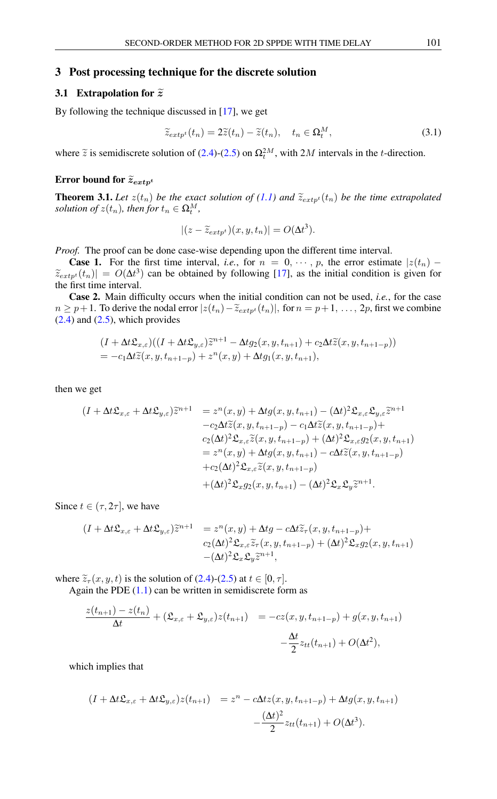#### <span id="page-5-0"></span>3 Post processing technique for the discrete solution

# 3.1 Extrapolation for  $\widetilde{z}$

By following the technique discussed in [\[17\]](#page-15-17), we get

$$
\widetilde{z}_{extp}t(t_n) = 2\widetilde{z}(t_n) - \widetilde{z}(t_n), \quad t_n \in \Omega_t^M,
$$
\n(3.1)

where  $\tilde{z}$  is semidiscrete solution of [\(2.4\)](#page-2-1)-[\(2.5\)](#page-2-2) on  $\Omega_t^{2M}$ , with 2M intervals in the t-direction.

#### Error bound for  $\widetilde{z}_{extpt}$

<span id="page-5-1"></span>**Theorem 3.1.** Let  $z(t_n)$  be the exact solution of [\(1.1\)](#page-0-0) and  $\tilde{z}_{extr^*}(t_n)$  be the time extrapolated *solution of*  $z(t_n)$ *, then for*  $t_n \in \Omega_t^M$ *,* 

$$
|(z-\widetilde{z}_{extp^t})(x,y,t_n)|=O(\Delta t^3).
$$

*Proof.* The proof can be done case-wise depending upon the different time interval.

**Case 1.** For the first time interval, *i.e.*, for  $n = 0, \dots, p$ , the error estimate  $|z(t_n) - z(t_n)|$  $\widetilde{z}_{expt}(t_n)| = O(\Delta t^3)$  can be obtained by following [\[17\]](#page-15-17), as the initial condition is given for the first time interval the first time interval.

Case 2. Main difficulty occurs when the initial condition can not be used, *i.e.*, for the case  $n \geq p+1$ . To derive the nodal error  $|z(t_n)-\tilde{z}_{expt}(t_n)|$ , for  $n = p+1, \ldots, 2p$ , first we combine  $(2.4)$  and  $(2.5)$ , which provides

$$
(I + \Delta t \mathfrak{L}_{x,\varepsilon})((I + \Delta t \mathfrak{L}_{y,\varepsilon})\tilde{z}^{n+1} - \Delta t g_2(x, y, t_{n+1}) + c_2 \Delta t \tilde{z}(x, y, t_{n+1-p}))
$$
  
=  $-c_1 \Delta t \tilde{z}(x, y, t_{n+1-p}) + z^n(x, y) + \Delta t g_1(x, y, t_{n+1}),$ 

then we get

$$
(I + \Delta t \mathfrak{L}_{x,\varepsilon} + \Delta t \mathfrak{L}_{y,\varepsilon}) \widetilde{z}^{n+1} = z^n(x, y) + \Delta t g(x, y, t_{n+1}) - (\Delta t)^2 \mathfrak{L}_{x,\varepsilon} \mathfrak{L}_{y,\varepsilon} \widetilde{z}^{n+1}
$$
  
\n
$$
-c_2 \Delta t \widetilde{z}(x, y, t_{n+1-p}) - c_1 \Delta t \widetilde{z}(x, y, t_{n+1-p}) +
$$
  
\n
$$
c_2 (\Delta t)^2 \mathfrak{L}_{x,\varepsilon} \widetilde{z}(x, y, t_{n+1-p}) + (\Delta t)^2 \mathfrak{L}_{x,\varepsilon} g_2(x, y, t_{n+1})
$$
  
\n
$$
= z^n(x, y) + \Delta t g(x, y, t_{n+1}) - c \Delta t \widetilde{z}(x, y, t_{n+1-p})
$$
  
\n
$$
+ c_2 (\Delta t)^2 \mathfrak{L}_{x,\varepsilon} \widetilde{z}(x, y, t_{n+1-p})
$$
  
\n
$$
+ (\Delta t)^2 \mathfrak{L}_x g_2(x, y, t_{n+1}) - (\Delta t)^2 \mathfrak{L}_x \mathfrak{L}_y \widetilde{z}^{n+1}.
$$

Since  $t \in (\tau, 2\tau]$ , we have

$$
(I + \Delta t \mathfrak{L}_{x,\varepsilon} + \Delta t \mathfrak{L}_{y,\varepsilon}) \widetilde{z}^{n+1} = z^n(x, y) + \Delta t g - c \Delta t \widetilde{z}_\tau(x, y, t_{n+1-p}) +
$$
  
\n
$$
c_2(\Delta t)^2 \mathfrak{L}_{x,\varepsilon} \widetilde{z}_\tau(x, y, t_{n+1-p}) + (\Delta t)^2 \mathfrak{L}_x g_2(x, y, t_{n+1})
$$
  
\n
$$
-(\Delta t)^2 \mathfrak{L}_x \mathfrak{L}_y \widetilde{z}^{n+1},
$$

where  $\tilde{z}_{\tau}(x, y, t)$  is the solution of [\(2.4\)](#page-2-1)-[\(2.5\)](#page-2-2) at  $t \in [0, \tau]$ .

Again the PDE  $(1.1)$  can be written in semidiscrete form as

$$
\frac{z(t_{n+1}) - z(t_n)}{\Delta t} + (\mathfrak{L}_{x,\varepsilon} + \mathfrak{L}_{y,\varepsilon})z(t_{n+1}) = -cz(x, y, t_{n+1-p}) + g(x, y, t_{n+1}) -\frac{\Delta t}{2}z_{tt}(t_{n+1}) + O(\Delta t^2),
$$

which implies that

$$
(I + \Delta t \mathfrak{L}_{x,\varepsilon} + \Delta t \mathfrak{L}_{y,\varepsilon}) z(t_{n+1}) = z^n - c \Delta t z(x, y, t_{n+1-p}) + \Delta t g(x, y, t_{n+1}) - \frac{(\Delta t)^2}{2} z_{tt}(t_{n+1}) + O(\Delta t^3).
$$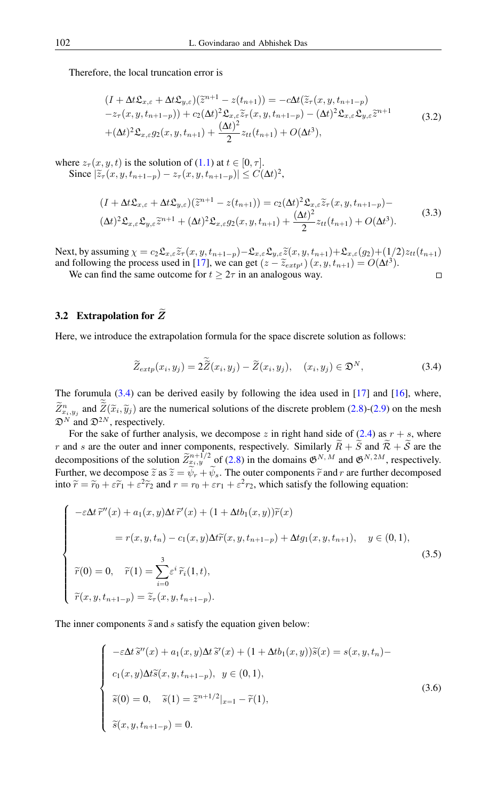Therefore, the local truncation error is

$$
(I + \Delta t \mathfrak{L}_{x,\varepsilon} + \Delta t \mathfrak{L}_{y,\varepsilon})(\tilde{z}^{n+1} - z(t_{n+1})) = -c \Delta t (\tilde{z}_{\tau}(x, y, t_{n+1-p}) -z_{\tau}(x, y, t_{n+1-p})) + c_2(\Delta t)^2 \mathfrak{L}_{x,\varepsilon} \tilde{z}_{\tau}(x, y, t_{n+1-p}) - (\Delta t)^2 \mathfrak{L}_{x,\varepsilon} \mathfrak{L}_{y,\varepsilon} \tilde{z}^{n+1} + (\Delta t)^2 \mathfrak{L}_{x,\varepsilon} g_2(x, y, t_{n+1}) + \frac{(\Delta t)^2}{2} z_{tt}(t_{n+1}) + O(\Delta t^3),
$$
\n(3.2)

where  $z_{\tau}(x, y, t)$  is the solution of [\(1.1\)](#page-0-0) at  $t \in [0, \tau]$ . Since  $|\tilde{z}_{\tau}(x, y, t_{n+1-p}) - z_{\tau}(x, y, t_{n+1-p})| \leq C(\Delta t)^2$ ,

$$
(I + \Delta t \mathfrak{L}_{x,\varepsilon} + \Delta t \mathfrak{L}_{y,\varepsilon})(\tilde{z}^{n+1} - z(t_{n+1})) = c_2(\Delta t)^2 \mathfrak{L}_{x,\varepsilon} \tilde{z}_\tau(x, y, t_{n+1-p}) -
$$
  

$$
(\Delta t)^2 \mathfrak{L}_{x,\varepsilon} \mathfrak{L}_{y,\varepsilon} \tilde{z}^{n+1} + (\Delta t)^2 \mathfrak{L}_{x,\varepsilon} g_2(x, y, t_{n+1}) + \frac{(\Delta t)^2}{2} z_{tt}(t_{n+1}) + O(\Delta t^3).
$$
 (3.3)

Next, by assuming  $\chi = c_2 \mathfrak{L}_{x,\varepsilon} \widetilde{z}_\tau(x, y, t_{n+1-p}) - \mathfrak{L}_{x,\varepsilon} \mathfrak{L}_{y,\varepsilon} \widetilde{z}(x, y, t_{n+1}) + \mathfrak{L}_{x,\varepsilon}(g_2) + (1/2)z_{tt}(t_{n+1})$ and following the process used in [\[17\]](#page-15-17), we can get  $(z - \tilde{z}_{extp}t)(x, y, t_{n+1}) = O(\Delta t^3)$ .<br>We can find the same outcome for  $t > 2\tau$  in an analogous way.

We can find the same outcome for  $t \geq 2\tau$  in an analogous way.

# 3.2 Extrapolation for  $\widetilde{Z}$

Here, we introduce the extrapolation formula for the space discrete solution as follows:

$$
\widetilde{Z}_{extp}(x_i, y_j) = 2\widetilde{\widetilde{Z}}(x_i, y_j) - \widetilde{Z}(x_i, y_j), \quad (x_i, y_j) \in \mathfrak{D}^N,
$$
\n(3.4)

<span id="page-6-0"></span> $\Box$ 

The forumula  $(3.4)$  can be derived easily by following the idea used in [\[17\]](#page-15-17) and [\[16\]](#page-15-16), where,  $\bar{Z}_{x_i, y_j}^n$  and  $\bar{Z}(\tilde{x}_i, \tilde{y}_j)$  are the numerical solutions of the discrete problem [\(2.8\)](#page-3-0)-[\(2.9\)](#page-4-0) on the mesh  $\tilde{Z}_{x_i, y_j}^N$  and  $\tilde{Z}_{x_i}^N$  successively.  $\mathfrak{D}^N$  and  $\mathfrak{D}^{2N}$ , respectively.

For the sake of further analysis, we decompose z in right hand side of [\(2.4\)](#page-2-1) as  $r + s$ , where r and s are the outer and inner components, respectively. Similarly  $\tilde{R} + \tilde{S}$  and  $\tilde{R} + \tilde{S}$  are the decompositions of the solution  $\tilde{Z}_{x_i,y}^{n+1/2}$  of [\(2.8\)](#page-3-0) in the domains  $\mathfrak{G}^{N,M}$  and  $\mathfrak{G}^{N,2M}$ , respectively. Further, we decompose  $\tilde{z}$  as  $\tilde{z} = \tilde{\psi}_r + \tilde{\psi}_s$ . The outer components  $\tilde{r}$  and r are further decomposed into  $\tilde{r} = \tilde{r}_0 + \varepsilon \tilde{r}_1 + \varepsilon^2 \tilde{r}_2$  and  $r = r_0 + \varepsilon r_1 + \varepsilon^2 r_2$ , which satisfy the following equation:

$$
\begin{cases}\n-\varepsilon \Delta t \tilde{r}''(x) + a_1(x, y) \Delta t \tilde{r}'(x) + (1 + \Delta t b_1(x, y)) \tilde{r}(x) \\
= r(x, y, t_n) - c_1(x, y) \Delta t \tilde{r}(x, y, t_{n+1-p}) + \Delta t g_1(x, y, t_{n+1}), \quad y \in (0, 1), \\
\tilde{r}(0) = 0, \quad \tilde{r}(1) = \sum_{i=0}^3 \varepsilon^i \tilde{r}_i(1, t), \\
\tilde{r}(x, y, t_{n+1-p}) = \tilde{z}_\tau(x, y, t_{n+1-p}).\n\end{cases} \tag{3.5}
$$

The inner components  $\tilde{s}$  and s satisfy the equation given below:

<span id="page-6-1"></span>
$$
\begin{cases}\n-\varepsilon \Delta t \tilde{s}''(x) + a_1(x, y) \Delta t \tilde{s}'(x) + (1 + \Delta t b_1(x, y)) \tilde{s}(x) = s(x, y, t_n) - \\
c_1(x, y) \Delta t \tilde{s}(x, y, t_{n+1-p}), \quad y \in (0, 1), \\
\tilde{s}(0) = 0, \quad \tilde{s}(1) = \tilde{z}^{n+1/2} |_{x=1} - \tilde{r}(1), \\
\tilde{s}(x, y, t_{n+1-p}) = 0.\n\end{cases}
$$
\n(3.6)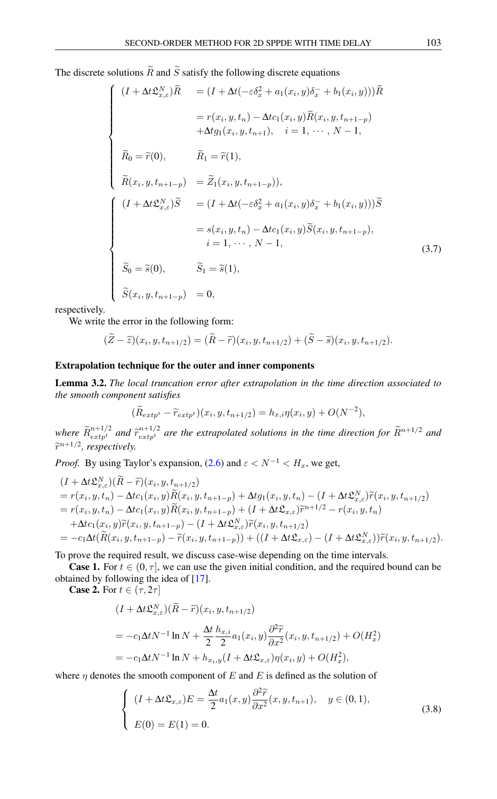The discrete solutions  $\widetilde{R}$  and  $\widetilde{S}$  satisfy the following discrete equations

<span id="page-7-1"></span>
$$
\begin{cases}\n(I + \Delta t \mathfrak{L}_{x,\varepsilon}^N)\tilde{R} &= (I + \Delta t(-\varepsilon \delta_x^2 + a_1(x_i, y)\delta_x^- + b_1(x_i, y)))\tilde{R} \\
&= r(x_i, y, t_n) - \Delta t c_1(x_i, y)\tilde{R}(x_i, y, t_{n+1-p}) \\
+ \Delta t g_1(x_i, y, t_{n+1}), \quad i = 1, \cdots, N-1, \\
\tilde{R}_0 = \tilde{r}(0), \qquad \tilde{R}_1 = \tilde{r}(1), \\
\tilde{R}(x_i, y, t_{n+1-p}) &= \tilde{Z}_1(x_i, y, t_{n+1-p})), \\
(I + \Delta t \mathfrak{L}_{x,\varepsilon}^N)\tilde{S} &= (I + \Delta t(-\varepsilon \delta_x^2 + a_1(x_i, y)\delta_x^- + b_1(x_i, y)))\tilde{S} \\
&= s(x_i, y, t_n) - \Delta t c_1(x_i, y)\tilde{S}(x_i, y, t_{n+1-p}), \\
i = 1, \cdots, N-1, \\
\tilde{S}_0 = \tilde{s}(0), \qquad \tilde{S}_1 = \tilde{s}(1), \\
\tilde{S}(x_i, y, t_{n+1-p}) &= 0,\n\end{cases} \tag{3.7}
$$

respectively.

We write the error in the following form:

$$
(\widetilde{Z}-\widetilde{z})(x_i,y,t_{n+1/2})=(\widetilde{R}-\widetilde{r})(x_i,y,t_{n+1/2})+(\widetilde{S}-\widetilde{s})(x_i,y,t_{n+1/2}).
$$

# Extrapolation technique for the outer and inner components

<span id="page-7-0"></span>Lemma 3.2. *The local truncation error after extrapolation in the time direction associated to the smooth component satisfies*

$$
(\widetilde{R}_{extp^t} - \widetilde{r}_{extp^t})(x_i, y, t_{n+1/2}) = h_{x,i}\eta(x_i, y) + O(N^{-2}),
$$

where  $\widetilde{R}^{n+1/2}_{expt}$  and  $\widetilde{r}^{n+1/2}_{expt}$  are the extrapolated solutions in the time direction for  $\widetilde{R}^{n+1/2}$  and  $\widetilde{R}^{n+1/2}$  $\widetilde{r}^{n+1/2}$ , respectively.

*Proof.* By using Taylor's expansion, [\(2.6\)](#page-2-3) and  $\varepsilon < N^{-1} < H_x$ , we get,

$$
(I + \Delta t \mathfrak{L}_{x,\varepsilon}^N)(\tilde{R} - \tilde{r})(x_i, y, t_{n+1/2})
$$
  
=  $r(x_i, y, t_n) - \Delta t c_1(x_i, y) \tilde{R}(x_i, y, t_{n+1-p}) + \Delta t g_1(x_i, y, t_n) - (I + \Delta t \mathfrak{L}_{x,\varepsilon}^N) \tilde{r}(x_i, y, t_{n+1/2})$   
=  $r(x_i, y, t_n) - \Delta t c_1(x_i, y) \tilde{R}(x_i, y, t_{n+1-p}) + (I + \Delta t \mathfrak{L}_{x,\varepsilon}) \tilde{r}^{n+1/2} - r(x_i, y, t_n)$   
+  $\Delta t c_1(x_i, y) \tilde{r}(x_i, y, t_{n+1-p}) - (I + \Delta t \mathfrak{L}_{x,\varepsilon}^N) \tilde{r}(x_i, y, t_{n+1/2})$   
=  $-c_1 \Delta t (\tilde{R}(x_i, y, t_{n+1-p}) - \tilde{r}(x_i, y, t_{n+1-p})) + ((I + \Delta t \mathfrak{L}_{x,\varepsilon}) - (I + \Delta t \mathfrak{L}_{x,\varepsilon}^N)) \tilde{r}(x_i, y, t_{n+1/2}).$ 

To prove the required result, we discuss case-wise depending on the time intervals.

**Case 1.** For  $t \in (0, \tau]$ , we can use the given initial condition, and the required bound can be obtained by following the idea of [\[17\]](#page-15-17).

**Case 2.** For  $t \in (\tau, 2\tau]$ 

$$
(I + \Delta t \mathfrak{L}_{x,\varepsilon}^N)(\widetilde{R} - \widetilde{r})(x_i, y, t_{n+1/2})
$$
  
=  $-c_1 \Delta t N^{-1} \ln N + \frac{\Delta t}{2} \frac{h_{x,i}}{2} a_1(x_i, y) \frac{\partial^2 \widetilde{r}}{\partial x^2} (x_i, y, t_{n+1/2}) + O(H_x^2)$   
=  $-c_1 \Delta t N^{-1} \ln N + h_{x_i,y} (I + \Delta t \mathfrak{L}_{x,\varepsilon}) \eta(x_i, y) + O(H_x^2),$ 

where  $\eta$  denotes the smooth component of E and E is defined as the solution of

$$
\begin{cases}\n(I + \Delta t \mathfrak{L}_{x,\varepsilon})E = \frac{\Delta t}{2} a_1(x,y) \frac{\partial^2 \widetilde{r}}{\partial x^2}(x,y,t_{n+1}), & y \in (0,1), \\
E(0) = E(1) = 0.\n\end{cases}
$$
\n(3.8)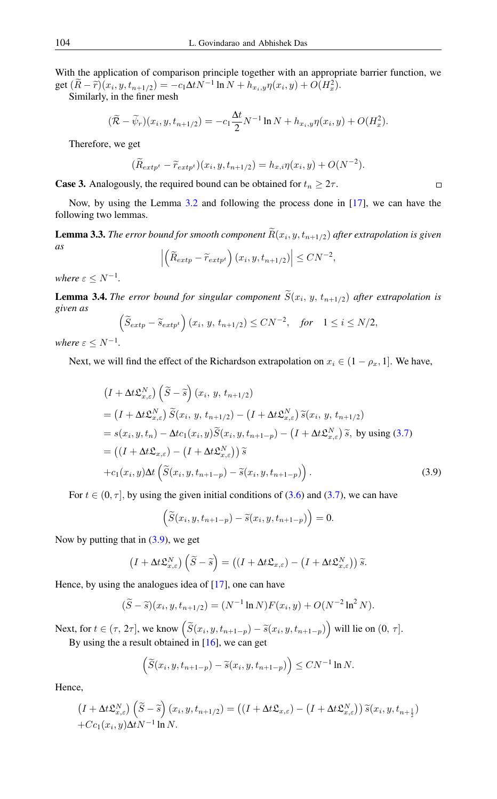With the application of comparison principle together with an appropriate barrier function, we get  $(R - \widetilde{r})(x_i, y, t_{n+1/2}) = -c_1 \Delta t N^{-1} \ln N + h_{x_i, y} \eta(x_i, y) + O(H_x^2)$ .<br>Similarly in the finer mesh

Similarly, in the finer mesh

$$
(\widetilde{\mathcal{R}} - \widetilde{\psi}_r)(x_i, y, t_{n+1/2}) = -c_1 \frac{\Delta t}{2} N^{-1} \ln N + h_{x_i, y} \eta(x_i, y) + O(H_x^2).
$$

Therefore, we get

$$
(\widetilde{R}_{extp^t} - \widetilde{r}_{extp^t})(x_i, y, t_{n+1/2}) = h_{x,i}\eta(x_i, y) + O(N^{-2}).
$$

**Case 3.** Analogously, the required bound can be obtained for  $t_n \geq 2\tau$ .

Now, by using the Lemma [3.2](#page-7-0) and following the process done in [\[17\]](#page-15-17), we can have the following two lemmas.

<span id="page-8-1"></span>**Lemma 3.3.** The error bound for smooth component  $R(x_i, y, t_{n+1/2})$  after extrapolation is given *as*

$$
\left| \left( \widetilde{R}_{extp} - \widetilde{r}_{extp} \right) (x_i, y, t_{n+1/2}) \right| \leq C N^{-2},
$$

*where*  $\varepsilon \leq N^{-1}$ *.* 

<span id="page-8-2"></span>**Lemma 3.4.** The error bound for singular component  $S(x_i, y, t_{n+1/2})$  after extrapolation is *given as*

$$
\left(\widetilde{S}_{extp} - \widetilde{s}_{extp}t\right)(x_i, y, t_{n+1/2}) \le CN^{-2}, \quad \text{for} \quad 1 \le i \le N/2,
$$

*where*  $\varepsilon \leq N^{-1}$ *.* 

Next, we will find the effect of the Richardson extrapolation on  $x_i \in (1 - \rho_x, 1]$ . We have,

<span id="page-8-0"></span>
$$
\begin{split}\n\left(I + \Delta t \mathfrak{L}_{x,\varepsilon}^{N}\right) \left(\widetilde{S} - \widetilde{s}\right) (x_{i}, y, t_{n+1/2}) \\
= \left(I + \Delta t \mathfrak{L}_{x,\varepsilon}^{N}\right) \widetilde{S}(x_{i}, y, t_{n+1/2}) - \left(I + \Delta t \mathfrak{L}_{x,\varepsilon}^{N}\right) \widetilde{s}(x_{i}, y, t_{n+1/2}) \\
= s(x_{i}, y, t_{n}) - \Delta t c_{1}(x_{i}, y) \widetilde{S}(x_{i}, y, t_{n+1-p}) - \left(I + \Delta t \mathfrak{L}_{x,\varepsilon}^{N}\right) \widetilde{s}, \text{ by using (3.7)} \\
= \left((I + \Delta t \mathfrak{L}_{x,\varepsilon}) - \left(I + \Delta t \mathfrak{L}_{x,\varepsilon}^{N}\right)\right) \widetilde{s} \\
+ c_{1}(x_{i}, y) \Delta t \left(\widetilde{S}(x_{i}, y, t_{n+1-p}) - \widetilde{s}(x_{i}, y, t_{n+1-p})\right).\n\end{split} \tag{3.9}
$$

For  $t \in (0, \tau]$ , by using the given initial conditions of [\(3.6\)](#page-6-1) and [\(3.7\)](#page-7-1), we can have

$$
\left(\widetilde{S}(x_i,y,t_{n+1-p})-\widetilde{s}(x_i,y,t_{n+1-p})\right)=0.
$$

Now by putting that in  $(3.9)$ , we get

$$
(I + \Delta t \mathfrak{L}_{x,\varepsilon}^N) \left( \widetilde{S} - \widetilde{s} \right) = ((I + \Delta t \mathfrak{L}_{x,\varepsilon}) - (I + \Delta t \mathfrak{L}_{x,\varepsilon}^N)) \widetilde{s}.
$$

Hence, by using the analogues idea of [\[17\]](#page-15-17), one can have

$$
(\widetilde{S} - \widetilde{s})(x_i, y, t_{n+1/2}) = (N^{-1} \ln N) F(x_i, y) + O(N^{-2} \ln^2 N).
$$

Next, for  $t \in (\tau, 2\tau]$ , we know  $\left(\widetilde{S}(x_i, y, t_{n+1-p}) - \widetilde{S}(x_i, y, t_{n+1-p})\right)$  will lie on  $(0, \tau]$ . By using the a result obtained in  $[16]$ , we can get

$$
\left(\widetilde{S}(x_i, y, t_{n+1-p}) - \widetilde{s}(x_i, y, t_{n+1-p})\right) \le CN^{-1}\ln N.
$$

Hence,

$$
\left(I + \Delta t \mathfrak{L}_{x,\varepsilon}^N\right)\left(\widetilde{S} - \widetilde{s}\right)(x_i, y, t_{n+1/2}) = \left(\left(I + \Delta t \mathfrak{L}_{x,\varepsilon}\right) - \left(I + \Delta t \mathfrak{L}_{x,\varepsilon}^N\right)\right)\widetilde{s}(x_i, y, t_{n+\frac{1}{2}}) + Cc_1(x_i, y)\Delta t N^{-1} \ln N.
$$

 $\Box$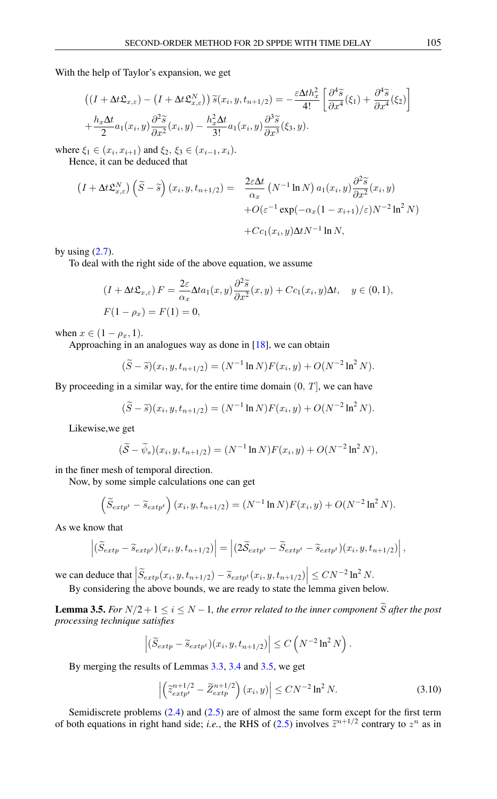With the help of Taylor's expansion, we get

$$
\begin{split} &\left((I+\Delta t\mathfrak{L}_{x,\varepsilon})-\left(I+\Delta t\mathfrak{L}_{x,\varepsilon}^{N}\right)\right)\widetilde{s}(x_{i},y,t_{n+1/2})=-\frac{\varepsilon\Delta th_{x}^{2}}{4!}\left[\frac{\partial^{4}\widetilde{s}}{\partial x^{4}}(\xi_{1})+\frac{\partial^{4}\widetilde{s}}{\partial x^{4}}(\xi_{2})\right] \\ &+\frac{h_{x}\Delta t}{2}a_{1}(x_{i},y)\frac{\partial^{2}\widetilde{s}}{\partial x^{2}}(x_{i},y)-\frac{h_{x}^{2}\Delta t}{3!}a_{1}(x_{i},y)\frac{\partial^{3}\widetilde{s}}{\partial x^{3}}(\xi_{3},y). \end{split}
$$

where  $\xi_1 \in (x_i, x_{i+1})$  and  $\xi_2, \xi_3 \in (x_{i-1}, x_i)$ . Hence, it can be deduced that

$$
(I + \Delta t \mathfrak{L}_{x,\varepsilon}^N) \left( \widetilde{S} - \widetilde{s} \right) (x_i, y, t_{n+1/2}) = \frac{2\varepsilon \Delta t}{\alpha_x} \left( N^{-1} \ln N \right) a_1(x_i, y) \frac{\partial^2 \widetilde{s}}{\partial x^2} (x_i, y)
$$

$$
+ O(\varepsilon^{-1} \exp(-\alpha_x (1 - x_{i+1})/\varepsilon) N^{-2} \ln^2 N)
$$

$$
+ C c_1(x_i, y) \Delta t N^{-1} \ln N,
$$

by using  $(2.7)$ .

To deal with the right side of the above equation, we assume

$$
(I + \Delta t \mathfrak{L}_{x,\varepsilon}) F = \frac{2\varepsilon}{\alpha_x} \Delta t a_1(x, y) \frac{\partial^2 \widetilde{s}}{\partial x^2} (x, y) + C c_1(x_i, y) \Delta t, \quad y \in (0, 1),
$$
  
 
$$
F(1 - \rho_x) = F(1) = 0,
$$

when  $x \in (1 - \rho_x, 1)$ .

Approaching in an analogues way as done in [\[18\]](#page-15-18), we can obtain

$$
(\widetilde{S} - \widetilde{s})(x_i, y, t_{n+1/2}) = (N^{-1} \ln N) F(x_i, y) + O(N^{-2} \ln^2 N).
$$

By proceeding in a similar way, for the entire time domain  $(0, T]$ , we can have

$$
(\widetilde{S} - \widetilde{s})(x_i, y, t_{n+1/2}) = (N^{-1} \ln N) F(x_i, y) + O(N^{-2} \ln^2 N).
$$

Likewise,we get

$$
(\widetilde{S} - \widetilde{\psi}_s)(x_i, y, t_{n+1/2}) = (N^{-1} \ln N) F(x_i, y) + O(N^{-2} \ln^2 N),
$$

in the finer mesh of temporal direction.

Now, by some simple calculations one can get

$$
\left(\widetilde{S}_{extp^t} - \widetilde{s}_{extp^t}\right)(x_i, y, t_{n+1/2}) = (N^{-1}\ln N)F(x_i, y) + O(N^{-2}\ln^2 N).
$$

As we know that

$$
\left|(\widetilde{S}_{extp} - \widetilde{s}_{extp}t)(x_i, y, t_{n+1/2})\right| = \left|(2\widetilde{S}_{extp}t - \widetilde{S}_{extp}t - \widetilde{s}_{extp}t)(x_i, y, t_{n+1/2})\right|,
$$

we can deduce that  $\left|\widetilde{S}_{extrp}(x_i, y, t_{n+1/2}) - \widetilde{S}_{extrp}(x_i, y, t_{n+1/2})\right| \leq CN^{-2}\ln^2 N$ .

By considering the above bounds, we are ready to state the lemma given below.

<span id="page-9-0"></span>**Lemma 3.5.** For  $N/2 + 1 \le i \le N - 1$ , the error related to the inner component  $\widetilde{S}$  after the post *processing technique satisfies*

$$
\left| \left( \widetilde{S}_{extp} - \widetilde{s}_{extp^t} \right) (x_i, y, t_{n+1/2}) \right| \le C \left( N^{-2} \ln^2 N \right).
$$

By merging the results of Lemmas [3.3,](#page-8-1) [3.4](#page-8-2) and [3.5,](#page-9-0) we get

$$
\left| \left( \tilde{z}_{extrp}^{n+1/2} - \tilde{Z}_{extrp}^{n+1/2} \right) (x_i, y) \right| \leq CN^{-2} \ln^2 N. \tag{3.10}
$$

Semidiscrete problems [\(2.4\)](#page-2-1) and [\(2.5\)](#page-2-2) are of almost the same form except for the first term of both equations in right hand side; *i.e.*, the RHS of [\(2.5\)](#page-2-2) involves  $\tilde{z}^{n+1/2}$  contrary to  $z^n$  as in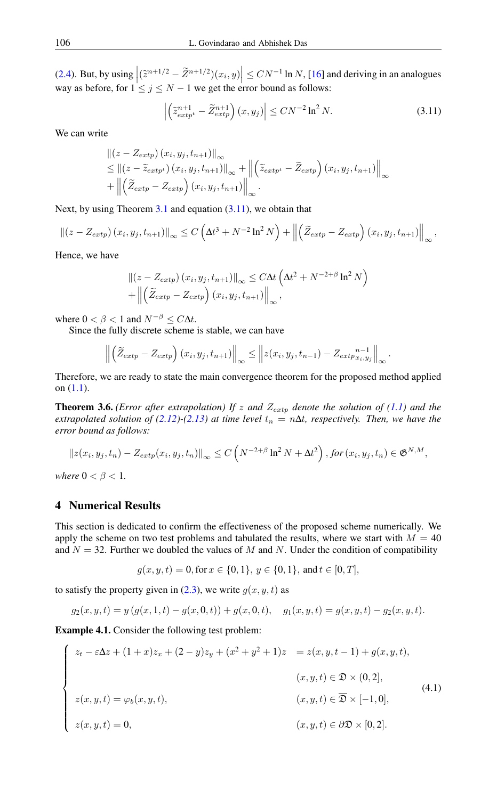[\(2.4\)](#page-2-1). But, by using  $|(\tilde{z}^{n+1/2} - \tilde{z}^{n+1/2})(x_i, y)| \leq CN^{-1} \ln N$ , [\[16\]](#page-15-16) and deriving in an analogues way as before, for  $1 \le j \le N - 1$  we get the error bound as follows:

<span id="page-10-1"></span>
$$
\left| \left( \tilde{z}_{extp}^{n+1} - \tilde{Z}_{extp}^{n+1} \right) (x, y_j) \right| \le C N^{-2} \ln^2 N. \tag{3.11}
$$

We can write

$$
\| (z - Z_{extp}) (x_i, y_j, t_{n+1}) \|_{\infty} \n\le \| (z - \widetilde{z}_{extp^t}) (x_i, y_j, t_{n+1}) \|_{\infty} + \left\| \left( \widetilde{z}_{extp^t} - \widetilde{Z}_{extp} \right) (x_i, y_j, t_{n+1}) \right\|_{\infty} \n+ \left\| \left( \widetilde{Z}_{extp} - Z_{extp} \right) (x_i, y_j, t_{n+1}) \right\|_{\infty}.
$$

Next, by using Theorem [3.1](#page-5-1) and equation  $(3.11)$ , we obtain that

$$
\left\|\left(z-Z_{extp}\right)(x_i,y_j,t_{n+1})\right\|_{\infty}\leq C\left(\Delta t^3+N^{-2}\ln^2 N\right)+\left\|\left(\widetilde{Z}_{extp}-Z_{extp}\right)(x_i,y_j,t_{n+1})\right\|_{\infty},
$$

Hence, we have

$$
\begin{aligned} &\left\| \left( z - Z_{extp} \right) \left( x_i, y_j, t_{n+1} \right) \right\|_{\infty} \leq C \Delta t \left( \Delta t^2 + N^{-2+\beta} \ln^2 N \right) \\ &+ \left\| \left( \widetilde{Z}_{extp} - Z_{extp} \right) \left( x_i, y_j, t_{n+1} \right) \right\|_{\infty}, \end{aligned}
$$

where  $0 < \beta < 1$  and  $N^{-\beta} \le C\Delta t$ .

Since the fully discrete scheme is stable, we can have

$$
\left\|\left(\widetilde{Z}_{extp}-Z_{extp}\right)(x_i,y_j,t_{n+1})\right\|_{\infty}\leq \left\|z(x_i,y_j,t_{n-1})-Z_{extp_{x_i,y_j}}\right\|_{\infty}.
$$

Therefore, we are ready to state the main convergence theorem for the proposed method applied on [\(1.1\)](#page-0-0).

**Theorem 3.6.** *(Error after extrapolation)* If z and  $Z_{extp}$  *denote the solution of* [\(1.1\)](#page-0-0) and the *extrapolated solution of* [\(2.12\)](#page-4-1)<sup>*-*</sup>[\(2.13\)](#page-4-1)</sub> *at time level*  $t_n = n\Delta t$ *, respectively. Then, we have the error bound as follows:*

$$
||z(x_i,y_j,t_n)-Z_{extp}(x_i,y_j,t_n)||_{\infty}\leq C\left(N^{-2+\beta}\ln^2 N+\Delta t^2\right),\text{for }(x_i,y_j,t_n)\in\mathfrak{G}^{N,M},
$$

*where*  $0 < \beta < 1$ *.* 

# <span id="page-10-0"></span>4 Numerical Results

This section is dedicated to confirm the effectiveness of the proposed scheme numerically. We apply the scheme on two test problems and tabulated the results, where we start with  $M = 40$ and  $N = 32$ . Further we doubled the values of M and N. Under the condition of compatibility

$$
g(x, y, t) = 0
$$
, for  $x \in \{0, 1\}$ ,  $y \in \{0, 1\}$ , and  $t \in [0, T]$ ,

to satisfy the property given in  $(2.3)$ , we write  $g(x, y, t)$  as

$$
g_2(x, y, t) = y (g(x, 1, t) - g(x, 0, t)) + g(x, 0, t), \quad g_1(x, y, t) = g(x, y, t) - g_2(x, y, t).
$$

<span id="page-10-2"></span>Example 4.1. Consider the following test problem:

$$
\begin{cases}\nz_t - \varepsilon \Delta z + (1+x)z_x + (2-y)z_y + (x^2 + y^2 + 1)z &= z(x, y, t - 1) + g(x, y, t), \\
(x, y, t) \in \mathfrak{D} \times (0, 2], \\
z(x, y, t) = \varphi_b(x, y, t), \\
z(x, y, t) = 0, \\
(x, y, t) \in \overline{\mathfrak{D}} \times [-1, 0], \\
(x, y, t) \in \partial \mathfrak{D} \times [0, 2].\n\end{cases}
$$
\n(4.1)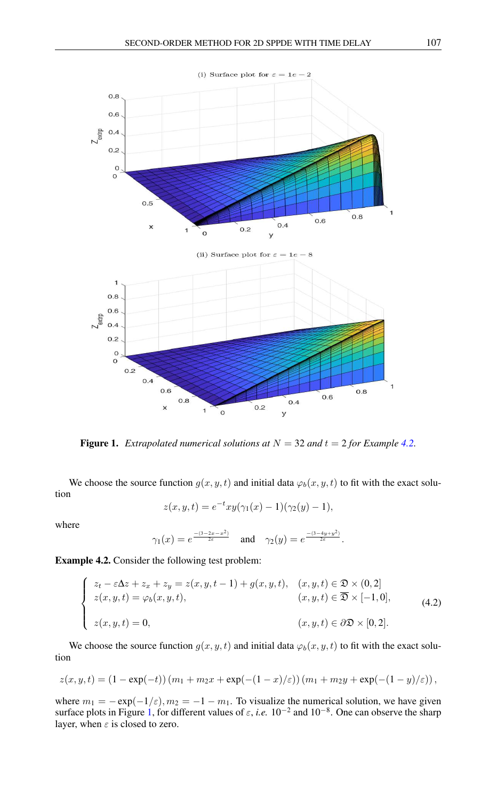

<span id="page-11-1"></span>**Figure 1.** *Extrapolated numerical solutions at*  $N = 32$  *and*  $t = 2$  *for Example* [4.2.](#page-11-0)

We choose the source function  $g(x, y, t)$  and initial data  $\varphi_b(x, y, t)$  to fit with the exact solution

$$
z(x, y, t) = e^{-t}xy(\gamma_1(x) - 1)(\gamma_2(y) - 1),
$$

where

$$
\gamma_1(x)=e^{\frac{-(3-2x-x^2)}{2\varepsilon}}\quad\text{and}\quad\gamma_2(y)=e^{\frac{-(3-4y+y^2)}{2\varepsilon}}.
$$

<span id="page-11-0"></span>Example 4.2. Consider the following test problem:

$$
\begin{cases}\n z_t - \varepsilon \Delta z + z_x + z_y = z(x, y, t - 1) + g(x, y, t), & (x, y, t) \in \mathfrak{D} \times (0, 2] \\
 z(x, y, t) = \varphi_b(x, y, t), & (x, y, t) \in \overline{\mathfrak{D}} \times [-1, 0], \\
 z(x, y, t) = 0, & (x, y, t) \in \partial \mathfrak{D} \times [0, 2].\n\end{cases}
$$
\n(4.2)

We choose the source function  $g(x, y, t)$  and initial data  $\varphi_b(x, y, t)$  to fit with the exact solution

$$
z(x, y, t) = (1 - \exp(-t)) (m_1 + m_2 x + \exp(-(1 - x)/\varepsilon)) (m_1 + m_2 y + \exp(-(1 - y)/\varepsilon)),
$$

where  $m_1 = -\exp(-1/\varepsilon), m_2 = -1 - m_1$ . To visualize the numerical solution, we have given surface plots in Figure [1,](#page-11-1) for different values of  $\varepsilon$ , *i.e.*  $10^{-2}$  and  $10^{-8}$ . One can observe the sharp layer, when  $\varepsilon$  is closed to zero.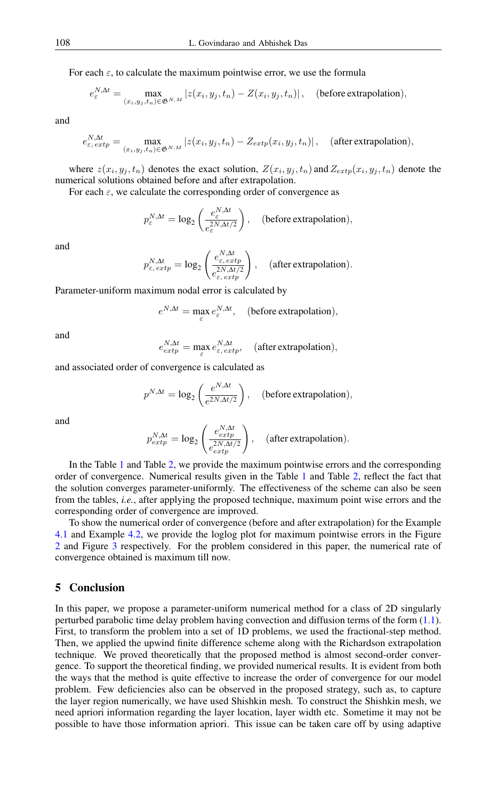For each  $\varepsilon$ , to calculate the maximum pointwise error, we use the formula

$$
e_{\varepsilon}^{N,\Delta t} = \max_{(x_i, y_j, t_n) \in \mathfrak{G}^{N,M}} |z(x_i, y_j, t_n) - Z(x_i, y_j, t_n)|, \quad \text{(before extrapolation)},
$$

and

$$
e_{\varepsilon, \, ext}^{N, \Delta t} = \max_{(x_i, y_j, t_n) \in \mathfrak{G}^{N, M}} |z(x_i, y_j, t_n) - Z_{extp}(x_i, y_j, t_n)|, \quad \text{(after extrapolation)},
$$

where  $z(x_i, y_j, t_n)$  denotes the exact solution,  $Z(x_i, y_j, t_n)$  and  $Z_{extp}(x_i, y_j, t_n)$  denote the numerical solutions obtained before and after extrapolation.

For each  $\varepsilon$ , we calculate the corresponding order of convergence as

$$
p_{\varepsilon}^{N,\Delta t} = \log_2\left(\frac{e_{\varepsilon}^{N,\Delta t}}{e_{\varepsilon}^{2N,\Delta t/2}}\right), \quad \text{(before extrapolation)},
$$

and

$$
p_{\varepsilon, \,extr}^{N, \Delta t} = \log_2 \left( \frac{e_{\varepsilon, \,extr}^{N, \Delta t}}{e_{\varepsilon, \,extr}^{2N, \Delta t/2}} \right), \quad \text{(after extrapolation)}.
$$

Parameter-uniform maximum nodal error is calculated by

$$
e^{N,\Delta t} = \max_{\varepsilon} e^{N,\Delta t}_{\varepsilon}, \quad \text{(before extrapolation)},
$$

and

 $e_{extp}^{N,\Delta t} = \max_{\varepsilon} e_{\varepsilon, ex}^{N,\Delta t}$ (after extrapolation),

and associated order of convergence is calculated as

$$
p^{N,\Delta t} = \log_2\left(\frac{e^{N,\Delta t}}{e^{2N,\Delta t/2}}\right), \quad \text{(before extrapolation)},
$$

and

$$
p_{extr}^{N,\Delta t} = \log_2\left(\frac{e_{extr}^{N,\Delta t}}{e_{extr}^{2N,\Delta t/2}}\right), \quad \text{(after extrapolation)}.
$$

In the Table [1](#page-13-0) and Table [2,](#page-13-1) we provide the maximum pointwise errors and the corresponding order of convergence. Numerical results given in the Table [1](#page-13-0) and Table [2,](#page-13-1) reflect the fact that the solution converges parameter-uniformly. The effectiveness of the scheme can also be seen from the tables, *i.e.*, after applying the proposed technique, maximum point wise errors and the corresponding order of convergence are improved.

To show the numerical order of convergence (before and after extrapolation) for the Example [4.1](#page-10-2) and Example [4.2,](#page-11-0) we provide the loglog plot for maximum pointwise errors in the Figure [2](#page-14-0) and Figure [3](#page-14-1) respectively. For the problem considered in this paper, the numerical rate of convergence obtained is maximum till now.

# <span id="page-12-0"></span>5 Conclusion

In this paper, we propose a parameter-uniform numerical method for a class of 2D singularly perturbed parabolic time delay problem having convection and diffusion terms of the form [\(1.1\)](#page-0-0). First, to transform the problem into a set of 1D problems, we used the fractional-step method. Then, we applied the upwind finite difference scheme along with the Richardson extrapolation technique. We proved theoretically that the proposed method is almost second-order convergence. To support the theoretical finding, we provided numerical results. It is evident from both the ways that the method is quite effective to increase the order of convergence for our model problem. Few deficiencies also can be observed in the proposed strategy, such as, to capture the layer region numerically, we have used Shishkin mesh. To construct the Shishkin mesh, we need apriori information regarding the layer location, layer width etc. Sometime it may not be possible to have those information apriori. This issue can be taken care off by using adaptive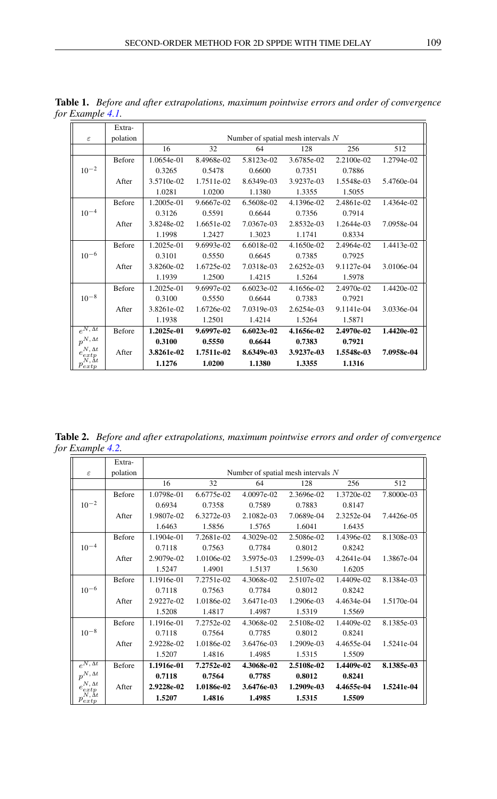<span id="page-13-0"></span>

|                              | Extra-   |                                    |            |            |            |              |            |  |  |
|------------------------------|----------|------------------------------------|------------|------------|------------|--------------|------------|--|--|
| $\varepsilon$                | polation | Number of spatial mesh intervals N |            |            |            |              |            |  |  |
|                              |          | 16                                 | 32         | 64         | 128        | 256          | 512        |  |  |
|                              | Before   | 1.0654e-01                         | 8.4968e-02 | 5.8123e-02 | 3.6785e-02 | 2.2100e-02   | 1.2794e-02 |  |  |
| $10^{-2}$                    |          | 0.3265                             | 0.5478     | 0.6600     | 0.7351     | 0.7886       |            |  |  |
|                              | After    | 3.5710e-02                         | 1.7511e-02 | 8.6349e-03 | 3.9237e-03 | 1.5548e-03   | 5.4760e-04 |  |  |
|                              |          | 1.0281                             | 1.0200     | 1.1380     | 1.3355     | 1.5055       |            |  |  |
|                              | Before   | 1.2005e-01                         | 9.6667e-02 | 6.5608e-02 | 4.1396e-02 | 2.4861e-02   | 1.4364e-02 |  |  |
| $10^{-4}$                    |          | 0.3126                             | 0.5591     | 0.6644     | 0.7356     | 0.7914       |            |  |  |
|                              | After    | 3.8248e-02                         | 1.6651e-02 | 7.0367e-03 | 2.8532e-03 | 1.2644e-03   | 7.0958e-04 |  |  |
|                              |          | 1.1998                             | 1.2427     | 1.3023     | 1.1741     | 0.8334       |            |  |  |
|                              | Before   | 1.2025e-01                         | 9.6993e-02 | 6.6018e-02 | 4.1650e-02 | 2.4964e-02   | 1.4413e-02 |  |  |
| $10^{-6}$                    |          | 0.3101                             | 0.5550     | 0.6645     | 0.7385     | 0.7925       |            |  |  |
|                              | After    | 3.8260e-02                         | 1.6725e-02 | 7.0318e-03 | 2.6252e-03 | 9.1127e-04   | 3.0106e-04 |  |  |
|                              |          | 1.1939                             | 1.2500     | 1.4215     | 1.5264     | 1.5978       |            |  |  |
|                              | Before   | $1.2025e-01$                       | 9.6997e-02 | 6.6023e-02 | 4.1656e-02 | $2.4970e-02$ | 1.4420e-02 |  |  |
| $10^{-8}$                    |          | 0.3100                             | 0.5550     | 0.6644     | 0.7383     | 0.7921       |            |  |  |
|                              | After    | 3.8261e-02                         | 1.6726e-02 | 7.0319e-03 | 2.6254e-03 | 9.1141e-04   | 3.0336e-04 |  |  |
|                              |          | 1.1938                             | 1.2501     | 1.4214     | 1.5264     | 1.5871       |            |  |  |
| $e^{N, \Delta t}$            | Before   | 1.2025e-01                         | 9.6997e-02 | 6.6023e-02 | 4.1656e-02 | 2.4970e-02   | 1.4420e-02 |  |  |
| $p^{N, \, \Delta t}$         |          | 0.3100                             | 0.5550     | 0.6644     | 0.7383     | 0.7921       |            |  |  |
| $N, \Delta t$<br>$e_{extrp}$ | After    | 3.8261e-02                         | 1.7511e-02 | 8.6349e-03 | 3.9237e-03 | 1.5548e-03   | 7.0958e-04 |  |  |
| $N, \Delta t$<br>$p_{extp}$  |          | 1.1276                             | 1.0200     | 1.1380     | 1.3355     | 1.1316       |            |  |  |

Table 1. *Before and after extrapolations, maximum pointwise errors and order of convergence for Example [4.1.](#page-10-2)*

Table 2. *Before and after extrapolations, maximum pointwise errors and order of convergence for Example [4.2.](#page-11-0)*

<span id="page-13-1"></span>

|                                     | Extra-   |                                    |            |            |            |            |            |  |  |
|-------------------------------------|----------|------------------------------------|------------|------------|------------|------------|------------|--|--|
| $\varepsilon$                       | polation | Number of spatial mesh intervals N |            |            |            |            |            |  |  |
|                                     |          | 16                                 | 32         | 64         | 128        | 256        | 512        |  |  |
|                                     | Before   | 1.0798e-01                         | 6.6775e-02 | 4.0097e-02 | 2.3696e-02 | 1.3720e-02 | 7.8000e-03 |  |  |
| $10^{-2}$                           |          | 0.6934                             | 0.7358     | 0.7589     | 0.7883     | 0.8147     |            |  |  |
|                                     | After    | 1.9807e-02                         | 6.3272e-03 | 2.1082e-03 | 7.0689e-04 | 2.3252e-04 | 7.4426e-05 |  |  |
|                                     |          | 1.6463                             | 1.5856     | 1.5765     | 1.6041     | 1.6435     |            |  |  |
|                                     | Before   | 1.1904e-01                         | 7.2681e-02 | 4.3029e-02 | 2.5086e-02 | 1.4396e-02 | 8.1308e-03 |  |  |
| $10^{-4}$                           |          | 0.7118                             | 0.7563     | 0.7784     | 0.8012     | 0.8242     |            |  |  |
|                                     | After    | 2.9079e-02                         | 1.0106e-02 | 3.5975e-03 | 1.2599e-03 | 4.2641e-04 | 1.3867e-04 |  |  |
|                                     |          | 1.5247                             | 1.4901     | 1.5137     | 1.5630     | 1.6205     |            |  |  |
|                                     | Before   | 1.1916e-01                         | 7.2751e-02 | 4.3068e-02 | 2.5107e-02 | 1.4409e-02 | 8.1384e-03 |  |  |
| $10^{-6}$                           |          | 0.7118                             | 0.7563     | 0.7784     | 0.8012     | 0.8242     |            |  |  |
|                                     | After    | 2.9227e-02                         | 1.0186e-02 | 3.6471e-03 | 1.2906e-03 | 4.4634e-04 | 1.5170e-04 |  |  |
|                                     |          | 1.5208                             | 1.4817     | 1.4987     | 1.5319     | 1.5569     |            |  |  |
|                                     | Before   | 1.1916e-01                         | 7.2752e-02 | 4.3068e-02 | 2.5108e-02 | 1.4409e-02 | 8.1385e-03 |  |  |
| $10^{-8}$                           |          | 0.7118                             | 0.7564     | 0.7785     | 0.8012     | 0.8241     |            |  |  |
|                                     | After    | 2.9228e-02                         | 1.0186e-02 | 3.6476e-03 | 1.2909e-03 | 4.4655e-04 | 1.5241e-04 |  |  |
|                                     |          | 1.5207                             | 1.4816     | 1.4985     | 1.5315     | 1.5509     |            |  |  |
| $e^{N, \Delta t}$                   | Before   | 1.1916e-01                         | 7.2752e-02 | 4.3068e-02 | 2.5108e-02 | 1.4409e-02 | 8.1385e-03 |  |  |
| $p^{N, \, \Delta t}$                |          | 0.7118                             | 0.7564     | 0.7785     | 0.8012     | 0.8241     |            |  |  |
| $N, \Delta t$<br>$e_{extp}$         | After    | 2.9228e-02                         | 1.0186e-02 | 3.6476e-03 | 1.2909e-03 | 4.4655e-04 | 1.5241e-04 |  |  |
| $\Lambda N, \Delta t$<br>$p_{extp}$ |          | 1.5207                             | 1.4816     | 1.4985     | 1.5315     | 1.5509     |            |  |  |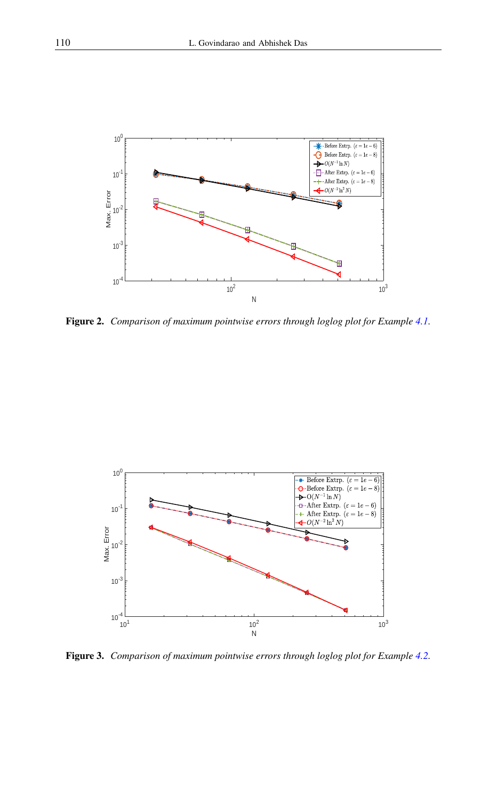

<span id="page-14-0"></span>Figure 2. *Comparison of maximum pointwise errors through loglog plot for Example [4.1.](#page-10-2)*



<span id="page-14-1"></span>Figure 3. *Comparison of maximum pointwise errors through loglog plot for Example [4.2.](#page-11-0)*